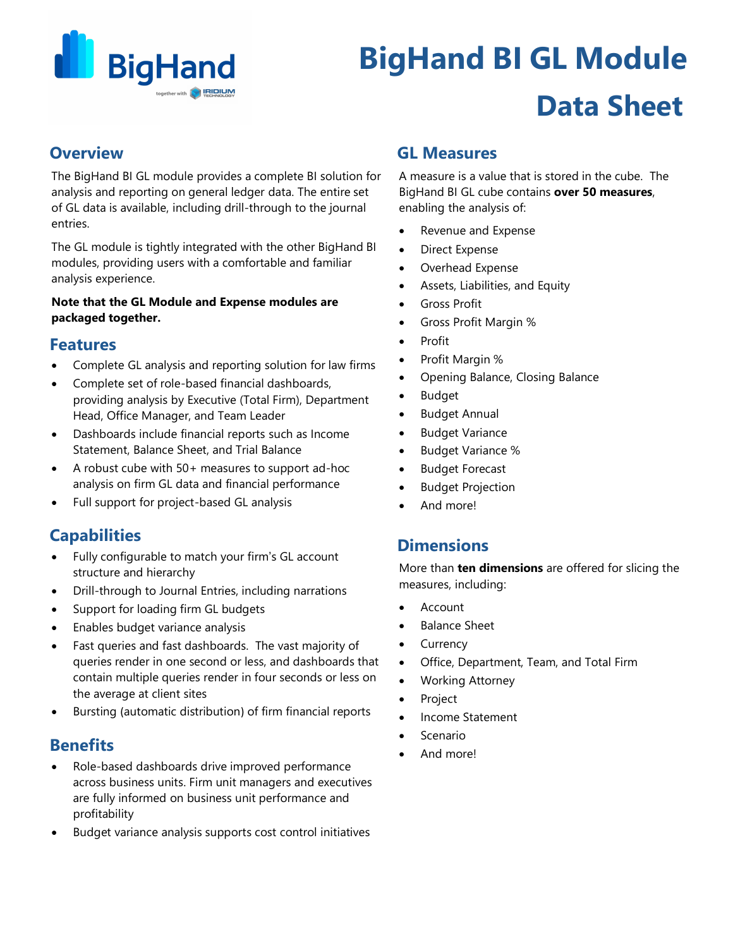

# **BigHand BI GL Module Data Sheet**

## **Overview**

The BigHand BI GL module provides a complete BI solution for analysis and reporting on general ledger data. The entire set of GL data is available, including drill-through to the journal entries.

The GL module is tightly integrated with the other BigHand BI modules, providing users with a comfortable and familiar analysis experience.

#### **Note that the GL Module and Expense modules are packaged together.**

## **Features**

- Complete GL analysis and reporting solution for law firms
- Complete set of role-based financial dashboards, providing analysis by Executive (Total Firm), Department Head, Office Manager, and Team Leader
- Dashboards include financial reports such as Income Statement, Balance Sheet, and Trial Balance
- A robust cube with 50+ measures to support ad-hoc analysis on firm GL data and financial performance
- Full support for project-based GL analysis

## **Capabilities**

- Fully configurable to match your firm's GL account structure and hierarchy
- Drill-through to Journal Entries, including narrations
- Support for loading firm GL budgets
- Enables budget variance analysis
- Fast queries and fast dashboards. The vast majority of queries render in one second or less, and dashboards that contain multiple queries render in four seconds or less on the average at client sites
- Bursting (automatic distribution) of firm financial reports

## **Benefits**

- Role-based dashboards drive improved performance across business units. Firm unit managers and executives are fully informed on business unit performance and profitability
- Budget variance analysis supports cost control initiatives

## **GL Measures**

A measure is a value that is stored in the cube. The BigHand BI GL cube contains **over 50 measures**, enabling the analysis of:

- Revenue and Expense
- Direct Expense
- Overhead Expense
- Assets, Liabilities, and Equity
- Gross Profit
- Gross Profit Margin %
- Profit
- Profit Margin %
- Opening Balance, Closing Balance
- Budget
- Budget Annual
- **Budget Variance**
- Budget Variance %
- **Budget Forecast**
- **Budget Projection**
- And more!

## **Dimensions**

More than **ten dimensions** are offered for slicing the measures, including:

- **Account**
- Balance Sheet
- **Currency**
- Office, Department, Team, and Total Firm
- Working Attorney
- **Project**
- Income Statement
- **Scenario**
- And more!